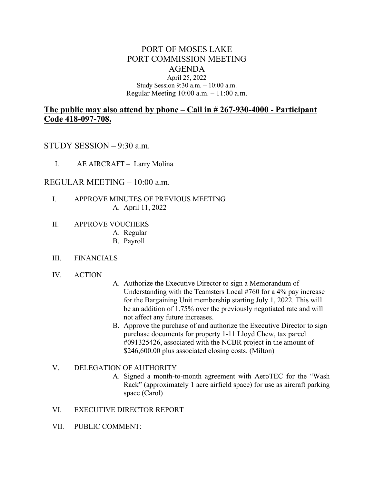# PORT OF MOSES LAKE PORT COMMISSION MEETING AGENDA April 25, 2022

#### Study Session 9:30 a.m. – 10:00 a.m. Regular Meeting 10:00 a.m. – 11:00 a.m.

# **The public may also attend by phone – Call in # 267-930-4000 - Participant Code 418-097-708.**

## STUDY SESSION – 9:30 a.m.

I. AE AIRCRAFT – Larry Molina

### REGULAR MEETING – 10:00 a.m.

- I. APPROVE MINUTES OF PREVIOUS MEETING A. April 11, 2022
- II. APPROVE VOUCHERS
	- A. Regular
	- B. Payroll

### III. FINANCIALS

- IV. ACTION
- A. Authorize the Executive Director to sign a Memorandum of Understanding with the Teamsters Local #760 for a 4% pay increase for the Bargaining Unit membership starting July 1, 2022. This will be an addition of 1.75% over the previously negotiated rate and will not affect any future increases.
- B. Approve the purchase of and authorize the Executive Director to sign purchase documents for property 1-11 Lloyd Chew, tax parcel #091325426, associated with the NCBR project in the amount of \$246,600.00 plus associated closing costs. (Milton)

### V. DELEGATION OF AUTHORITY

- A. Signed a month-to-month agreement with AeroTEC for the "Wash Rack" (approximately 1 acre airfield space) for use as aircraft parking space (Carol)
- VI. EXECUTIVE DIRECTOR REPORT
- VII. PUBLIC COMMENT: